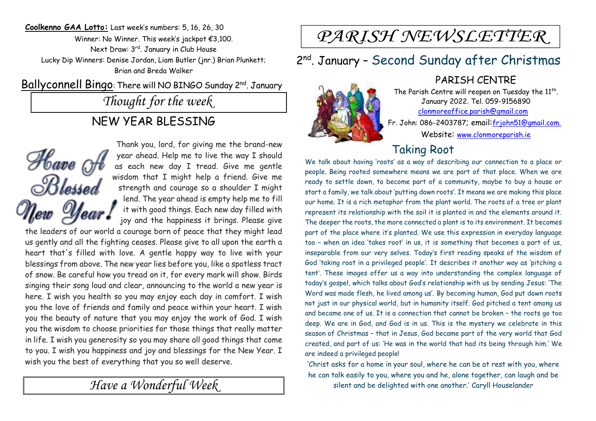**Coolkenno GAA Lotto:** Last week's numbers: 5, 16, 26, 30 Winner: No Winner. This week's jackpot €3,100. Next Draw: 3 rd. January in Club House Lucky Dip Winners: Denise Jordan, Liam Butler (jnr.) Brian Plunkett; Brian and Breda Walker

Ballyconnell Bingo: There will NO BINGO Sunday 2nd. January

*Thought for the week*

#### NEW YEAR BLESSING



Thank you, lord, for giving me the brand-new year ahead. Help me to live the way I should as each new day I tread. Give me gentle wisdom that I might help a friend. Give me strength and courage so a shoulder I might lend. The year ahead is empty help me to fill it with good things. Each new day filled with joy and the happiness it brings. Please give

the leaders of our world a courage born of peace that they might lead us gently and all the fighting ceases. Please give to all upon the earth a heart that's filled with love. A gentle happy way to live with your blessings from above. The new year lies before you, like a spotless tract of snow. Be careful how you tread on it, for every mark will show. Birds singing their song loud and clear, announcing to the world a new year is here. I wish you health so you may enjoy each day in comfort. I wish you the love of friends and family and peace within your heart. I wish you the beauty of nature that you may enjoy the work of God. I wish you the wisdom to choose priorities for those things that really matter in life. I wish you generosity so you may share all good things that come to you. I wish you happiness and joy and blessings for the New Year. I wish you the best of everything that you so well deserve.

*Have a Wonderful Week* 

# PARISH NEWSLETTER

## 2<sup>nd</sup>. January - Second Sunday after Christmas

PARISH CENTRE The Parish Centre will reopen on Tuesday the  $11^{th}$ .

January 2022. Tel. 059-9156890 clonmoreoffice.parish@gmail.com Fr. John: 086-2403787; email:frjohn51@gmail.com. Website: www.clonmoreparish.ie

## Taking Root

We talk about having 'roots' as a way of describing our connection to a place or people. Being rooted somewhere means we are part of that place. When we are ready to settle down, to become part of a community, maybe to buy a house or start a family, we talk about 'putting down roots'. It means we are making this place our home. It is a rich metaphor from the plant world. The roots of a tree or plant represent its relationship with the soil it is planted in and the elements around it. The deeper the roots, the more connected a plant is to its environment. It becomes part of the place where it's planted. We use this expression in everyday language too – when an idea 'takes root' in us, it is something that becomes a part of us, inseparable from our very selves. Today's first reading speaks of the wisdom of God 'taking root in a privileged people'. It describes it another way as 'pitching a tent'. These images offer us a way into understanding the complex language of today's gospel, which talks about God's relationship with us by sending Jesus: 'The Word was made flesh, he lived among us'. By becoming human, God put down roots not just in our physical world, but in humanity itself. God pitched a tent among us and became one of us. It is a connection that cannot be broken – the roots go too deep. We are in God, and God is in us. This is the mystery we celebrate in this season of Christmas – that in Jesus, God became part of the very world that God created, and part of us: 'He was in the world that had its being through him.' We are indeed a privileged people!

'Christ asks for a home in your soul, where he can be at rest with you, where he can talk easily to you, where you and he, alone together, can laugh and be silent and be delighted with one another.' Caryll Houselander